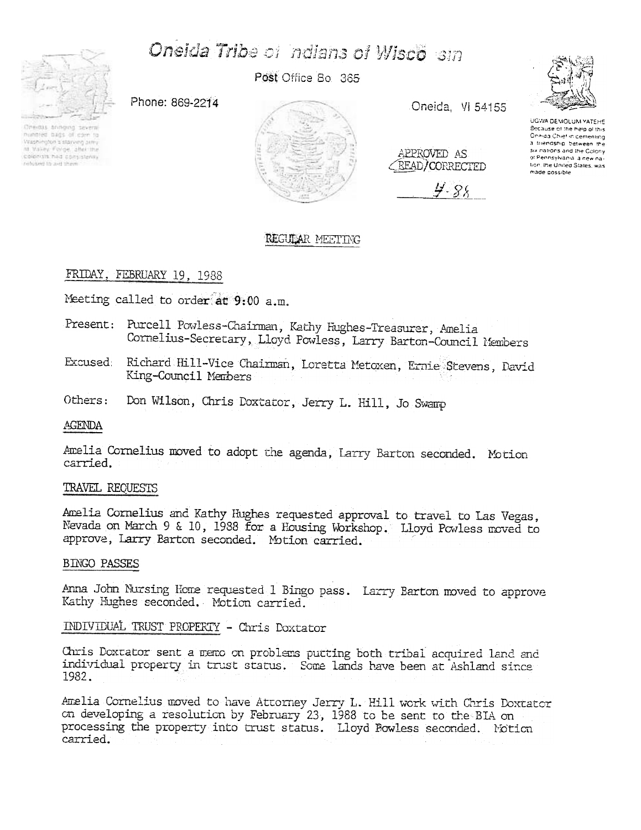# Oneida Tribe of ndians of Wisco sin



nummed bags of corn to Washington's starving army

colonists had consistently

witched to aid throw

Post Office Bo. 365





Oneida, VI 54155

APPROVED AS **CREAD/CORRECTED** 

4-88



UGWA DEMOLUM YATEHE Because of the help of this<br>Oneiga:Chief in cementing a triendship between the six nations and the Colony ot Pennsylvania, a new nation, the United States, was made possible

# REGULAR MEETING

## FRIDAY, FEBRUARY 19, 1988

Meeting called to order at 9:00 a.m.

- Present: Purcell Powless-Chairman, Kathy Hughes-Treasurer, Amelia Cornelius-Secretary, Lloyd Powless, Larry Barton-Council Members
- Richard Hill-Vice Chairman, Loretta Metoxen, Ernie Stevens, David Excused: King-Council Members
- Others: Don Wilson, Chris Doxtator, Jerry L. Hill, Jo Swamp

## AGENDA

Amelia Cornelius moved to adopt the agenda, Larry Barton seconded. Motion carried.

## TRAVEL REQUESTS

Amelia Cornelius and Kathy Hughes requested approval to travel to Las Vegas, Nevada on March 9 & 10, 1988 for a Housing Workshop. Lloyd Powless moved to approve, Larry Barton seconded. Motion carried.

## **BINGO PASSES**

Anna John Nursing Home requested 1 Bingo pass. Larry Barton moved to approve Kathy Hughes seconded. Motion carried.

# INDIVIDUAL TRUST PROPERTY - Chris Doxtator

Chris Doxtator sent a memo on problems putting both tribal acquired land and individual property in trust status. Some lands have been at Ashland since 1982.

Amelia Cornelius moved to have Attorney Jerry L. Hill work with Chris Doxtator on developing a resolution by February 23, 1988 to be sent to the BIA on processing the property into trust status. Lloyd Bowless seconded. Notion carried.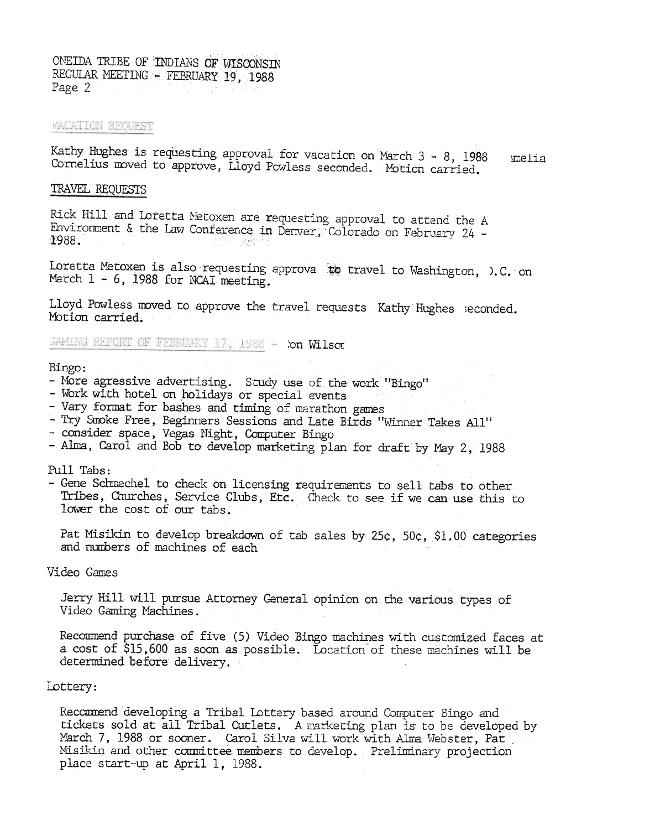ONEIDA TRIBE OF INDIANS OF WISCONSIN REGULAR MEETING - FEBRUARY 19, 1988 Page 2

#### VACATION REQUEST

Kathy Hughes is requesting approval for vacation on March 3 - 8, 1988 melia Cornelius moved to approve, Lloyd Powless seconded. Motion carried.

#### TRAVEL REQUESTS

Rick Hill and Loretta Metoxen are requesting approval to attend the A Environment & the Law Conference in Denver, Colorado on February 24 -1988. -281

Loretta Metoxen is also requesting approva to travel to Washington, O.C. on March  $1 - 6$ , 1988 for NCAI meeting.

Lloyd Powless moved to approve the travel requests Kathy Hughes seconded. Motion carried.

GAMING REFORT OF FEBRUARY 17, 1988 - Xon Wilson

#### Bingo:

- More agressive advertising. Study use of the work "Bingo"
- Work with hotel on holidays or special events
- Vary format for bashes and timing of marathon games
- Try Smoke Free, Beginners Sessions and Late Birds "Winner Takes All"
- consider space, Vegas Night, Computer Bingo
- Alma, Carol and Bob to develop marketing plan for draft by May 2, 1988

## Pull Tabs:

- Gene Schmechel to check on licensing requirements to sell tabs to other Tribes, Churches, Service Clubs, Etc. Check to see if we can use this to lower the cost of our tabs.

Pat Misikin to develop breakdown of tab sales by 25c, 50c, \$1.00 categories and numbers of machines of each

#### Video Games

Jerry Hill will pursue Attorney General opinion on the various types of Video Gaming Machines.

Recommend purchase of five (5) Video Bingo machines with customized faces at a cost of \$15,600 as soon as possible. Location of these machines will be determined before delivery.

#### Lottery:

Recommend developing a Tribal Lottery based around Computer Bingo and tickets sold at all Tribal Cutlets. A marketing plan is to be developed by March 7, 1988 or sooner. Carol Silva will work with Alma Webster, Pat Misikin and other committee members to develop. Preliminary projection place start-up at April 1, 1988.